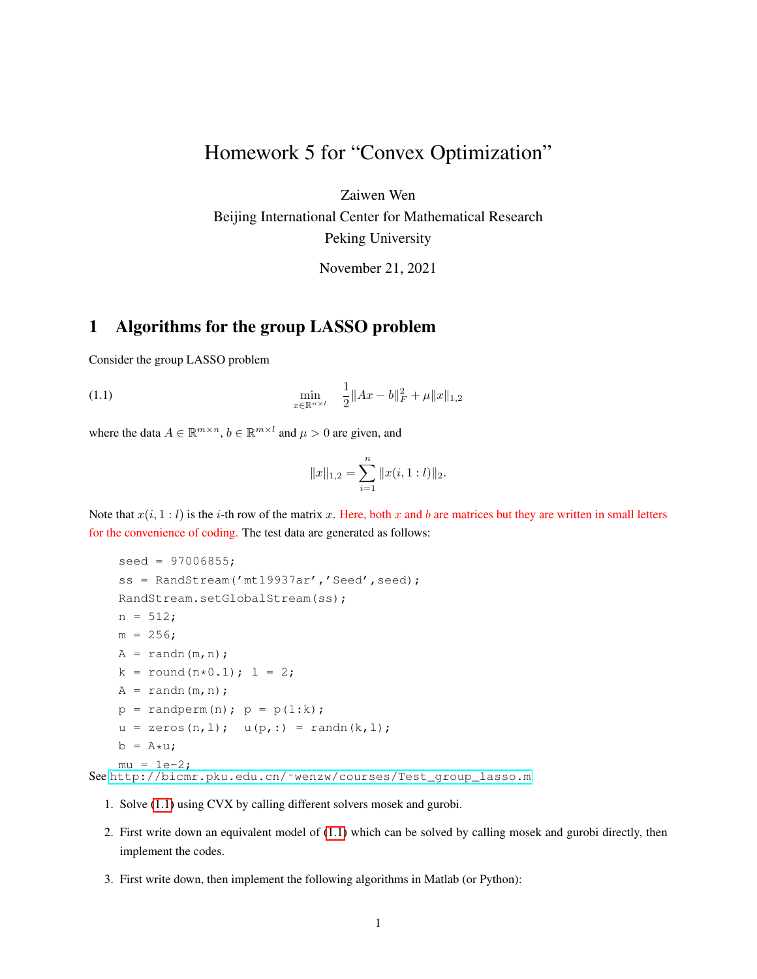## Homework 5 for "Convex Optimization"

Zaiwen Wen

Beijing International Center for Mathematical Research Peking University

<span id="page-0-0"></span>November 21, 2021

## 1 Algorithms for the group LASSO problem

Consider the group LASSO problem

(1.1) 
$$
\min_{x \in \mathbb{R}^{n \times l}} \quad \frac{1}{2} \|Ax - b\|_F^2 + \mu \|x\|_{1,2}
$$

where the data  $A \in \mathbb{R}^{m \times n}$ ,  $b \in \mathbb{R}^{m \times l}$  and  $\mu > 0$  are given, and

$$
||x||_{1,2} = \sum_{i=1}^{n} ||x(i, 1 : l)||_2.
$$

Note that  $x(i, 1 : l)$  is the i-th row of the matrix x. Here, both x and b are matrices but they are written in small letters for the convenience of coding. The test data are generated as follows:

```
seed = 97006855;
ss = RandStream('mt19937ar','Seed', seed);
RandStream.setGlobalStream(ss);
n = 512;m = 256;
A = \text{randn}(m,n);k = round(n*0.1); l = 2;A = \text{randn}(m,n);p = \text{random}(n); p = p(1:k);u = zeros(n, 1); u(p, :) = randn(k, 1);b = A \star u;mu = 1e-2;See http://bicmr.pku.edu.cn/˜wenzw/courses/Test_group_lasso.m
```
- 1. Solve [\(1.1\)](#page-0-0) using CVX by calling different solvers mosek and gurobi.
- 2. First write down an equivalent model of [\(1.1\)](#page-0-0) which can be solved by calling mosek and gurobi directly, then implement the codes.
- 3. First write down, then implement the following algorithms in Matlab (or Python):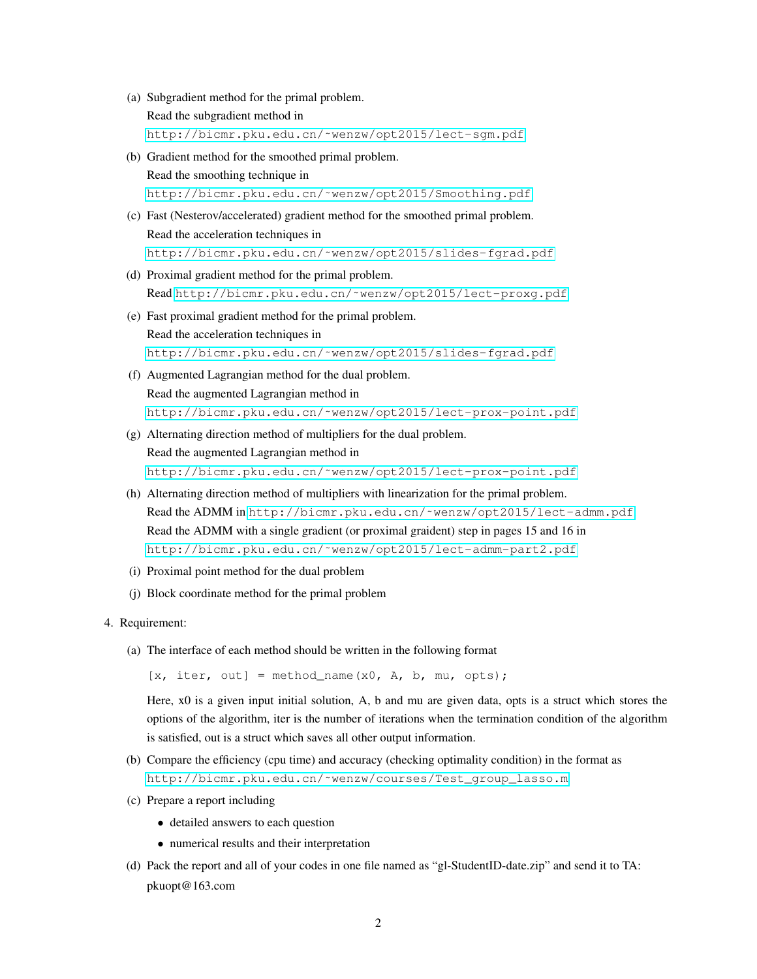- (a) Subgradient method for the primal problem. Read the subgradient method in [http://bicmr.pku.edu.cn/˜wenzw/opt2015/lect-sgm.pdf](http://bicmr.pku.edu.cn/~wenzw/opt2015/lect-sgm.pdf)
- (b) Gradient method for the smoothed primal problem.

Read the smoothing technique in [http://bicmr.pku.edu.cn/˜wenzw/opt2015/Smoothing.pdf](http://bicmr.pku.edu.cn/~wenzw/opt2015/Smoothing.pdf)

- (c) Fast (Nesterov/accelerated) gradient method for the smoothed primal problem. Read the acceleration techniques in [http://bicmr.pku.edu.cn/˜wenzw/opt2015/slides-fgrad.pdf](http://bicmr.pku.edu.cn/~wenzw/opt2015/slides-fgrad.pdf)
- (d) Proximal gradient method for the primal problem. Read [http://bicmr.pku.edu.cn/˜wenzw/opt2015/lect-proxg.pdf](http://bicmr.pku.edu.cn/~wenzw/opt2015/lect-proxg.pdf)
- (e) Fast proximal gradient method for the primal problem. Read the acceleration techniques in [http://bicmr.pku.edu.cn/˜wenzw/opt2015/slides-fgrad.pdf](http://bicmr.pku.edu.cn/~wenzw/opt2015/slides-fgrad.pdf)
- (f) Augmented Lagrangian method for the dual problem. Read the augmented Lagrangian method in [http://bicmr.pku.edu.cn/˜wenzw/opt2015/lect-prox-point.pdf](http://bicmr.pku.edu.cn/~wenzw/opt2015/lect-prox-point.pdf)
- (g) Alternating direction method of multipliers for the dual problem. Read the augmented Lagrangian method in [http://bicmr.pku.edu.cn/˜wenzw/opt2015/lect-prox-point.pdf](http://bicmr.pku.edu.cn/~wenzw/opt2015/lect-prox-point.pdf)
- (h) Alternating direction method of multipliers with linearization for the primal problem. Read the ADMM in http://bicmr.pku.edu.cn/~wenzw/opt2015/lect-admm.pdf. Read the ADMM with a single gradient (or proximal graident) step in pages 15 and 16 in [http://bicmr.pku.edu.cn/˜wenzw/opt2015/lect-admm-part2.pdf](http://bicmr.pku.edu.cn/~wenzw/opt2015/lect-admm-part2.pdf)
- (i) Proximal point method for the dual problem
- (j) Block coordinate method for the primal problem
- 4. Requirement:
	- (a) The interface of each method should be written in the following format

 $[x, iter, out] = method name(x0, A, b, mu, opts);$ 

Here, x0 is a given input initial solution, A, b and mu are given data, opts is a struct which stores the options of the algorithm, iter is the number of iterations when the termination condition of the algorithm is satisfied, out is a struct which saves all other output information.

- (b) Compare the efficiency (cpu time) and accuracy (checking optimality condition) in the format as [http://bicmr.pku.edu.cn/˜wenzw/courses/Test\\_group\\_lasso.m](http://bicmr.pku.edu.cn/~wenzw/courses/Test_group_lasso.m)
- (c) Prepare a report including
	- detailed answers to each question
	- numerical results and their interpretation
- (d) Pack the report and all of your codes in one file named as "gl-StudentID-date.zip" and send it to TA: pkuopt@163.com